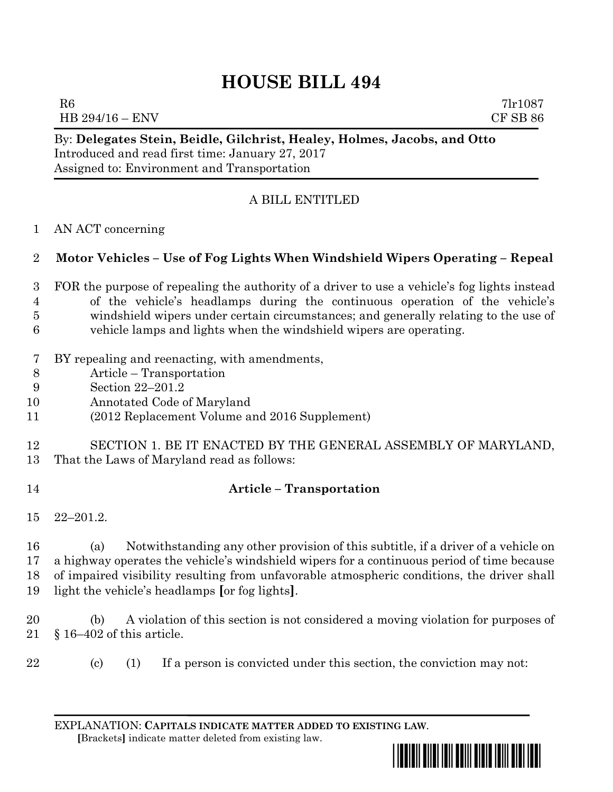# **HOUSE BILL 494**

 $R6$  7lr1087 HB 294/16 – ENV CF SB 86

By: **Delegates Stein, Beidle, Gilchrist, Healey, Holmes, Jacobs, and Otto** Introduced and read first time: January 27, 2017 Assigned to: Environment and Transportation

## A BILL ENTITLED

AN ACT concerning

### **Motor Vehicles – Use of Fog Lights When Windshield Wipers Operating – Repeal**

- FOR the purpose of repealing the authority of a driver to use a vehicle's fog lights instead of the vehicle's headlamps during the continuous operation of the vehicle's windshield wipers under certain circumstances; and generally relating to the use of vehicle lamps and lights when the windshield wipers are operating.
- BY repealing and reenacting, with amendments,
- Article Transportation
- Section 22–201.2
- Annotated Code of Maryland
- (2012 Replacement Volume and 2016 Supplement)

#### SECTION 1. BE IT ENACTED BY THE GENERAL ASSEMBLY OF MARYLAND, That the Laws of Maryland read as follows:

## **Article – Transportation**

22–201.2.

 (a) Notwithstanding any other provision of this subtitle, if a driver of a vehicle on a highway operates the vehicle's windshield wipers for a continuous period of time because of impaired visibility resulting from unfavorable atmospheric conditions, the driver shall light the vehicle's headlamps **[**or fog lights**]**.

 (b) A violation of this section is not considered a moving violation for purposes of § 16–402 of this article.

- 
- (c) (1) If a person is convicted under this section, the conviction may not:

EXPLANATION: **CAPITALS INDICATE MATTER ADDED TO EXISTING LAW**.  **[**Brackets**]** indicate matter deleted from existing law.